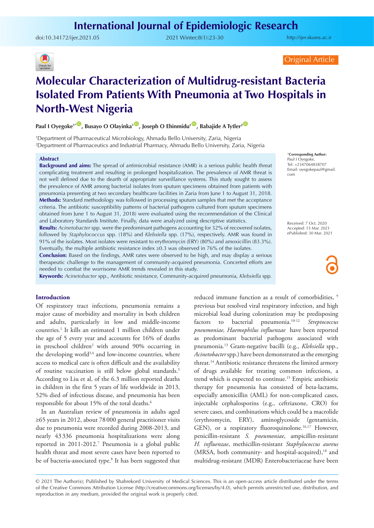## **International Journal of Epidemiologic Research**

doi:[10.34172/ijer.2021.05](https://doi.org/10.34172/ijer.2021.05) 2021 Winter;8(1):23-30

<http://ijer.skums.ac.ir>



Original Article

# **Molecular Characterization of Multidrug-resistant Bacteria Isolated From Patients With Pneumonia at Two Hospitals in North-West Nigeria**

**Paul I Oyegoke<sup>1</sub><sup>.</sup> Busayo O Olayinka<sup>1</sup>** *D***, Joseph O Ehinmidu<sup>1</sup>** *D***, Babajide A Tytler<sup>2</sup>** *D*</sup>

1 Department of Pharmaceutical Microbiology, Ahmadu Bello University, Zaria, Nigeria 2 Department of Pharmaceutics and Industrial Pharmacy, Ahmadu Bello University, Zaria, Nigeria

#### **Abstract**

**Background and aims:** The spread of antimicrobial resistance (AMR) is a serious public health threat complicating treatment and resulting in prolonged hospitalization. The prevalence of AMR threat is not well defined due to the dearth of appropriate surveillance systems. This study sought to assess the prevalence of AMR among bacterial isolates from sputum specimens obtained from patients with pneumonia presenting at two secondary healthcare facilities in Zaria from June 1 to August 31, 2018. **Methods:** Standard methodology was followed in processing sputum samples that met the acceptance criteria. The antibiotic susceptibility patterns of bacterial pathogens cultured from sputum specimens obtained from June 1 to August 31, 2018) were evaluated using the recommendation of the Clinical and Laboratory Standards Institute. Finally, data were analyzed using descriptive statistics.

**Results:** *Acinetobacter* spp. were the predominant pathogens accounting for 32% of recovered isolates, followed by *Staphylococcus* spp. (18%) and *Klebsiella* spp. (17%), respectively. AMR was found in 91% of the isolates. Most isolates were resistant to erythromycin (ERY) (80%) and amoxicillin (83.3%). Eventually, the multiple antibiotic resistance index ≥0.3 was observed in 76% of the isolates.

**Conclusion:** Based on the findings, AMR rates were observed to be high, and may display a serious therapeutic challenge to the management of community-acquired pneumonia. Concerted efforts are needed to combat the worrisome AMR trends revealed in this study.

**Keywords:** *Acinetobacter* spp.*,* Antibiotic resistance, Community-acquired pneumonia, *Klebsiella* spp*.*

#### **Introduction**

Of respiratory tract infections, pneumonia remains a major cause of morbidity and mortality in both children and adults, particularly in low and middle-income countries.1 It kills an estimated 1 million children under the age of 5 every year and accounts for 16% of deaths in preschool children<sup>2</sup> with around 90% occurring in the developing world<sup>3,4</sup> and low-income countries, where access to medical care is often difficult and the availability of routine vaccination is still below global standards.<sup>5</sup> According to Liu et al, of the 6.3 million reported deaths in children in the first 5 years of life worldwide in 2013, 52% died of infectious disease, and pneumonia has been responsible for about 15% of the total deaths.<sup>6</sup>

In an Australian review of pneumonia in adults aged ≥65 years in 2012, about 78 000 general practitioner visits due to pneumonia were recorded during 2008-2013, and nearly 43 336 pneumonia hospitalizations were along reported in 2011-2012.7 Pneumonia is a global public health threat and most severe cases have been reported to be of bacteria-associated type.<sup>8</sup> It has been suggested that

reduced immune function as a result of comorbidities, <sup>9</sup> previous but resolved viral respiratory infection, and high microbial load during colonization may be predisposing factors to bacterial pneumonia.10-12 *Streptococcus pneumoniae, Haemophilus influenzae* have been reported as predominant bacterial pathogens associated with pneumonia.13 Gram-negative bacilli (e.g., *Klebsiella* spp., *Acinetobacter* spp.) have been demonstrated as the emerging threat.14 Antibiotic resistance threatens the limited armory of drugs available for treating common infections, a trend which is expected to continue.<sup>15</sup> Empiric antibiotic therapy for pneumonia has consisted of beta-lactams, especially amoxicillin (AML) for non-complicated cases, injectable cephalosporins (e.g., ceftriaxone, CRO) for severe cases, and combinations which could be a macrolide (erythromycin, ERY), aminoglycoside (gentamicin, GEN), or a respiratory fluoroquinolone.<sup>16,17</sup> However, penicillin-resistant *S. pneumoniae*, ampicillin-resistant *H. influenzae*, methicillin-resistant *Staphylococcus aureus*  $(MRSA, both community- and hospital-acquired),<sup>18</sup> and$ multidrug-resistant (MDR) Enterobacteriaceae have been

\***Corresponding Author:** Paul I Oyegoke, Tel: +2347064838707 Email: oyegokepaul@gmail. com

Received: 7 Oct. 2020 Accepted: 15 Mar. 2021 ePublished: 30 Mar. 2021

<sup>© 2021</sup> The Author(s); Published by Shahrekord University of Medical Sciences. This is an open-access article distributed under the terms of the Creative Commons Attribution License (http://creativecommons.org/licenses/by/4.0), which permits unrestricted use, distribution, and reproduction in any medium, provided the original work is properly cited.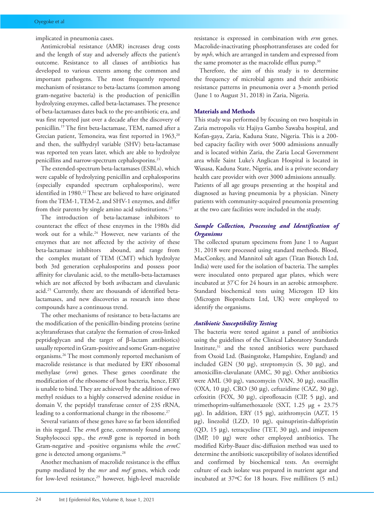implicated in pneumonia cases.

Antimicrobial resistance (AMR) increases drug costs and the length of stay and adversely affects the patient's outcome. Resistance to all classes of antibiotics has developed to various extents among the common and important pathogens. The most frequently reported mechanism of resistance to beta-lactams (common among gram-negative bacteria) is the production of penicillin hydrolyzing enzymes, called beta-lactamases. The presence of beta-lactamases dates back to the pre-antibiotic era, and was first reported just over a decade after the discovery of penicillin.19 The first beta-lactamase, TEM, named after a Grecian patient, Temoneira, was first reported in 1963,<sup>20</sup> and then, the sulfhydryl variable (SHV) beta-lactamase was reported ten years later, which are able to hydrolyze penicillins and narrow-spectrum cephalosporins.<sup>21</sup>

The extended-spectrum beta-lactamases (ESBLs), which were capable of hydrolyzing penicillin and cephalosporins (especially expanded spectrum cephalosporins), were identified in 1980.<sup>22</sup> These are believed to have originated from the TEM-1, TEM-2, and SHV-1 enzymes, and differ from their parents by single amino acid substitutions.<sup>23</sup>

The introduction of beta-lactamase inhibitors to counteract the effect of these enzymes in the 1980s did work out for a while.<sup>24</sup> However, new variants of the enzymes that are not affected by the activity of these beta-lactamase inhibitors abound, and range from the complex mutant of TEM (CMT) which hydrolyze both 3rd generation cephalosporins and possess poor affinity for clavulanic acid, to the metallo-beta-lactamases which are not affected by both avibactam and clavulanic acid.25 Currently, there are thousands of identified betalactamases, and new discoveries as research into these compounds have a continuous trend.

The other mechanisms of resistance to beta-lactams are the modification of the penicillin-binding proteins (serine acyltransferases that catalyze the formation of cross-linked peptidoglycan and the target of β-lactam antibiotics) usually reported in Gram-positive and some Gram-negative organisms.26 The most commonly reported mechanism of macrolide resistance is that mediated by ERY ribosomal methylase (*erm*) genes. These genes coordinate the modification of the ribosome of host bacteria, hence, ERY is unable to bind. They are achieved by the addition of two methyl residues to a highly conserved adenine residue in domain V, the peptidyl transferase center of 23S rRNA, leading to a conformational change in the ribosome.<sup>27</sup>

Several variants of these genes have so far been identified in this regard. The *ermA* gene, commonly found among Staphylococci spp., the *ermB* gene is reported in both Gram-negative and -positive organisms while the *ermC* gene is detected among organisms.28

Another mechanism of macrolide resistance is the efflux pump mediated by the *msr* and *mef* genes, which code for low-level resistance,<sup>29</sup> however, high-level macrolide

resistance is expressed in combination with *erm* genes. Macrolide-inactivating phosphotransferases are coded for by *mph*, which are arranged in tandem and expressed from the same promoter as the macrolide efflux pump.<sup>30</sup>

Therefore, the aim of this study is to determine the frequency of microbial agents and their antibiotic resistance patterns in pneumonia over a 3-month period (June 1 to August 31, 2018) in Zaria, Nigeria.

#### **Materials and Methods**

This study was performed by focusing on two hospitals in Zaria metropolis viz Hajiya Gambo Sawaba hospital, and Kofan-gaya, Zaria, Kaduna State, Nigeria. This is a 200 bed capacity facility with over 5000 admissions annually and is located within Zaria, the Zaria Local Government area while Saint Luke's Anglican Hospital is located in Wusasa, Kaduna State, Nigeria, and is a private secondary health care provider with over 3000 admissions annually. Patients of all age groups presenting at the hospital and diagnosed as having pneumonia by a physician. Ninety patients with community-acquired pneumonia presenting at the two care facilities were included in the study.

### *Sample Collection, Processing and Identification of Organisms*

The collected sputum specimens from June 1 to August 31, 2018 were processed using standard methods. Blood, MacConkey, and Mannitol salt agars (Titan Biotech Ltd, India) were used for the isolation of bacteria. The samples were inoculated onto prepared agar plates, which were incubated at 37° C for 24 hours in an aerobic atmosphere. Standard biochemical tests using Microgen ID kits (Microgen Bioproducts Ltd, UK) were employed to identify the organisms.

#### *Antibiotic Susceptibility Testing*

The bacteria were tested against a panel of antibiotics using the guidelines of the Clinical Laboratory Standards Institute,<sup>31</sup> and the tested antibiotics were purchased from Oxoid Ltd. (Basingstoke, Hampshire, England) and included GEN (30 μg), streptomycin (S, 30 μg), and amoxicillin-clavulanate (AMC, 30 μg). Other antibiotics were AML (30 μg), vancomycin (VAN, 30 μg), oxacillin (OXA, 10 μg), CRO (30 μg), ceftazidime (CAZ, 30 μg), cefoxitin (FOX, 30 μg), ciprofloxacin (CIP, 5 μg), and trimethoprim-sulfamethoxazole (SXT, 1.25 µg + 23.75 µg). In addition, ERY (15 μg), azithromycin (AZT, 15 μg), linezolid (LZD, 10 μg), quinupristin-dalfopristin (QD, 15 μg), tetracycline (TET, 30 μg), and imipenem (IMP, 10 μg) were other employed antibiotics. The modified Kirby-Bauer disc-diffusion method was used to determine the antibiotic susceptibility of isolates identified and confirmed by biochemical tests. An overnight culture of each isolate was prepared in nutrient agar and incubated at 37ºC for 18 hours. Five milliliters (5 mL)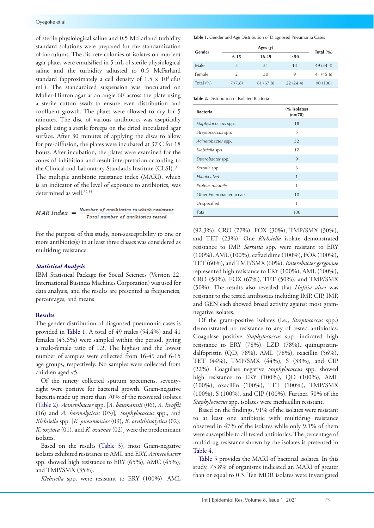of sterile physiological saline and 0.5 McFarland turbidity standard solutions were prepared for the standardization of inoculums. The discrete colonies of isolates on nutrient agar plates were emulsified in 5 mL of sterile physiological saline and the turbidity adjusted to 0.5 McFarland standard (approximately a cell density of  $1.5 \times 10^8$  cfu/ mL). The standardized suspension was inoculated on Muller-Hinton agar at an angle 60º across the plate using a sterile cotton swab to ensure even distribution and confluent growth. The plates were allowed to dry for 5 minutes. The disc of various antibiotics was aseptically placed using a sterile forceps on the dried inoculated agar surface. After 30 minutes of applying the discs to allow for pre-diffusion, the plates were incubated at 37º C for 18 hours. After incubation, the plates were examined for the zones of inhibition and result interpretation according to the Clinical and Laboratory Standards Institute (CLSI). 31 The multiple antibiotic resistance index (MARI), which is an indicator of the level of exposure to antibiotics, was determined as well.<sup>32,33</sup>

$$
MAR\ Index = \frac{Number\ of\ antibiotics\ to\ which\ resistant}{Total\ number\ of\ antibiotics\ tested}
$$

For the purpose of this study, non-susceptibility to one or more antibiotic(s) in at least three classes was considered as multidrug resistance.

#### *Statistical Analysis*

IBM Statistical Package for Social Sciences (Version 22, International Business Machines Corporation) was used for data analysis, and the results are presented as frequencies, percentages, and means.

#### **Results**

The gender distribution of diagnosed pneumonia cases is provided in [Table](#page-4-0) 1. A total of 49 males (54.4%) and 41 females (45.6%) were sampled within the period, giving a male-female ratio of 1.2. The highest and the lowest number of samples were collected from 16-49 and 6-15 age groups, respectively. No samples were collected from children aged <5.

Of the ninety collected sputum specimens, seventyeight were positive for bacterial growth. Gram-negative bacteria made up more than 70% of the recovered isolates ([Table](#page-2-0) 2). *Acinetobacter* spp. [*A. baumannii* (06), *A. Iwoffii*  (16) and *A. haemolyticus* (03)]*, Staphylococcus* spp., and *Klebsiella* spp. [*K. pneumoniae* (09), *K. ornithinolytica* (02), *K. oxytoca* (01), and *K. ozaenae* (02)] were the predominant isolates.

Based on the results ([Table](#page-3-0) 3), most Gram-negative isolates exhibited resistance to AML and ERY. *Acinetobacter* spp. showed high resistance to ERY (65%), AMC (45%), and TMP/SMX (35%).

*Klebsiella* spp. were resistant to ERY (100%), AML

**Table 1.** Gender and Age Distribution of Diagnosed Pneumonia Cases

| Gender        |                |           |           |               |  |  |
|---------------|----------------|-----------|-----------|---------------|--|--|
|               | $6 - 15$       | 16-49     | $\geq 50$ | Total $(\% )$ |  |  |
| Male          | 5              | 31        | 13        | 49 (54.4)     |  |  |
| Female        | $\overline{2}$ | 30        | 9         | 41 (45.6)     |  |  |
| Total $(\% )$ | 7(7.8)         | 61 (67.8) | 22(24.4)  | 90 (100)      |  |  |

<span id="page-2-0"></span>**Table 2.** Distribution of Isolated Bacteria

| <b>Bacteria</b>          | (% Isolates)<br>$(n=78)$ |
|--------------------------|--------------------------|
| Staphylococcus spp.      | 18                       |
| Streptococcus spp.       | 5                        |
| Acinetobacter spp.       | 32                       |
| Klebsiella spp.          | 17                       |
| Enterobacter spp.        | 9                        |
| Serratia spp.            | 6                        |
| Hafnia alvei             | 1                        |
| Proteus mirabilis        | 1                        |
| Other Enterobacteriaceae | 10                       |
| Unspecified              | 1                        |
| Total                    | 100                      |

(92.3%), CRO (77%), FOX (30%), TMP/SMX (30%), and TET (23%). One *Klebsiella* isolate demonstrated resistance to IMP. *Serratia* spp. were resistant to ERY (100%), AML (100%), ceftazidime (100%), FOX (100%), TET (60%), and TMP/SMX (60%). *Enterobacter gergoviae* represented high resistance to ERY (100%), AML (100%), CRO (50%), FOX (67%), TET (50%), and TMP/SMX (50%). The results also revealed that *Hafnia alvei* was resistant to the tested antibiotics including IMP. CIP, IMP, and GEN each showed broad activity against most gramnegative isolates.

Of the gram-positive isolates (i.e., *Streptococcus* spp.) demonstrated no resistance to any of tested antibiotics. Coagulase positive *Staphylococcus* spp. indicated high resistance to ERY (78%), LZD (78%), quinupristindalfopristin (QD, 78%), AML (78%), oxacillin (56%), TET (44%), TMP/SMX (44%), S (33%), and CIP (22%). Coagulase negative *Staphylococcus* spp. showed high resistance to ERY (100%), QD (100%), AML (100%), oxacillin (100%), TET (100%), TMP/SMX (100%), S (100%), and CIP (100%). Further, 50% of the *Staphylococcus* spp. isolates were methicillin resistant.

Based on the findings, 91% of the isolates were resistant to at least one antibiotic with multidrug resistance observed in 47% of the isolates while only 9.1% of them were susceptible to all tested antibiotics. The percentage of multidrug resistance shown by the isolates is presented in [Table](#page-3-1) 4.

[Table](#page-3-2) 5 provides the MARI of bacterial isolates. In this study, 75.8% of organisms indicated an MARI of greater than or equal to 0.3. Ten MDR isolates were investigated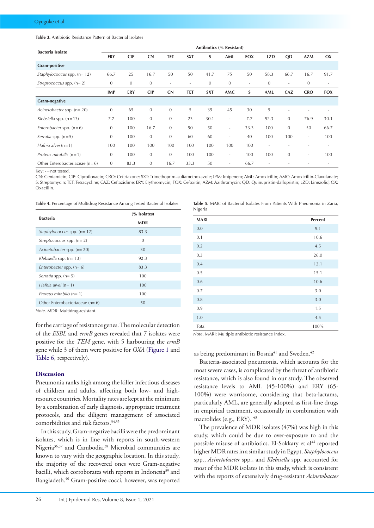#### <span id="page-3-0"></span>**Table 3.** Antibiotic Resistance Pattern of Bacterial Isolates

| <b>Bacteria Isolate</b>          | Antibiotics (% Resistant) |              |              |                          |                          |              |                          |            |                          |                          |                          |                          |
|----------------------------------|---------------------------|--------------|--------------|--------------------------|--------------------------|--------------|--------------------------|------------|--------------------------|--------------------------|--------------------------|--------------------------|
|                                  | ERY                       | <b>CIP</b>   | CN           | <b>TET</b>               | <b>SXT</b>               | S            | AML                      | <b>FOX</b> | <b>LZD</b>               | QD                       | <b>AZM</b>               | OX                       |
| <b>Gram-positive</b>             |                           |              |              |                          |                          |              |                          |            |                          |                          |                          |                          |
| Staphylococcus spp. $(n=12)$     | 66.7                      | 25           | 16.7         | 50                       | 50                       | 41.7         | 75                       | 50         | 58.3                     | 66.7                     | 16.7                     | 91.7                     |
| Streptococcus spp. $(n=2)$       | $\mathbf{0}$              | $\mathbf{0}$ | $\mathbf{0}$ | $\overline{\phantom{a}}$ | $\overline{\phantom{a}}$ | $\mathbf{0}$ | $\mathbf{0}$             | $\sim$     | $\theta$                 | $\overline{\phantom{a}}$ | $\mathbf{0}$             | $\overline{\phantom{a}}$ |
|                                  | <b>IMP</b>                | <b>ERY</b>   | <b>CIP</b>   | CN                       | <b>TET</b>               | <b>SXT</b>   | AMC                      | S          | AML                      | CAZ                      | <b>CRO</b>               | <b>FOX</b>               |
| <b>Gram-negative</b>             |                           |              |              |                          |                          |              |                          |            |                          |                          |                          |                          |
| Acinetobacter spp. $(n=20)$      | $\mathbf{0}$              | 65           | $\mathbf{0}$ | $\mathbf{0}$             | 5                        | 35           | 45                       | 30         | 5                        | $\overline{\phantom{a}}$ |                          |                          |
| Klebsiella spp. $(n = 13)$       | 7.7                       | 100          | $\mathbf{0}$ | $\mathbf{0}$             | 23                       | 30.1         | $\overline{\phantom{a}}$ | 7.7        | 92.3                     | $\mathbf{0}$             | 76.9                     | 30.1                     |
| Enterobacter spp. $(n=6)$        | $\mathbf{0}$              | 100          | 16.7         | $\mathbf{0}$             | 50                       | 50           | $\overline{\phantom{a}}$ | 33.3       | 100                      | $\mathbf{0}$             | 50                       | 66.7                     |
| Serratia spp. $(n=5)$            | $\mathbf{0}$              | 100          | $\mathbf{0}$ | $\mathbf{0}$             | 60                       | 60           | $\overline{\phantom{a}}$ | 40         | 100                      | 100                      | $\overline{\phantom{a}}$ | 100                      |
| Hafnia alvei $(n=1)$             | 100                       | 100          | 100          | 100                      | 100                      | 100          | 100                      | 100        | $\overline{\phantom{a}}$ | ٠                        | ٠                        | $\overline{\phantom{a}}$ |
| Proteus mirabilis $(n = 1)$      | $\mathbf{0}$              | 100          | $\mathbf{0}$ | $\mathbf{0}$             | 100                      | 100          | $\overline{\phantom{a}}$ | 100        | 100                      | $\mathbf{0}$             | ٠                        | 100                      |
| Other Enterobacteriaceae $(n=6)$ | $\mathbf{0}$              | 83.3         | $\mathbf{0}$ | 16.7                     | 33.3                     | 50           |                          | 66.7       |                          |                          |                          |                          |

Key: -=not tested.

CN: Gentamicin; CIP: Ciprofloxacin; CRO: Ceftriaxone; SXT: Trimethoprim–sulfamethoxazole; IPM: Imipenem; AML: Amoxicillin; AMC: Amoxicillin-Clavulanate; S: Streptomycin; TET: Tetracycline; CAZ: Ceftazidime; ERY: Erythromycin; FOX: Cefoxitin; AZM: Azithromycin; QD: Quinupristin-dalfopristin; LZD: Linezolid; OX: Oxacillin.

<span id="page-3-1"></span>**Table 4.** Percentage of Multidrug Resistance Among Tested Bacterial Isolates

| $\frac{6}{6}$ isolates) |  |  |  |
|-------------------------|--|--|--|
| <b>MDR</b>              |  |  |  |
| 83.3                    |  |  |  |
| $\theta$                |  |  |  |
| 30                      |  |  |  |
| 92.3                    |  |  |  |
| 83.3                    |  |  |  |
| 100                     |  |  |  |
| 100                     |  |  |  |
| 100                     |  |  |  |
| 50                      |  |  |  |
|                         |  |  |  |

*Note*. MDR: Multidrug-resistant.

for the carriage of resistance genes. The molecular detection of the *ESBL* and *ermB* genes revealed that 7 isolates were positive for the *TEM* gene, with 5 harbouring the *ermB* gene while 3 of them were positive for *OXA* [\(Figure](#page-4-0) 1 and [Table](#page-4-1) 6, respectively).

#### **Discussion**

Pneumonia ranks high among the killer infectious diseases of children and adults, affecting both low- and highresource countries. Mortality rates are kept at the minimum by a combination of early diagnosis, appropriate treatment protocols, and the diligent management of associated comorbidities and risk factors.<sup>34,35</sup>

In this study, Gram-negative bacilli were the predominant isolates, which is in line with reports in south-western Nigeria<sup>36,37</sup> and Cambodia.<sup>38</sup> Microbial communities are known to vary with the geographic location. In this study, the majority of the recovered ones were Gram-negative bacilli, which corroborates with reports in Indonesia<sup>39</sup> and Bangladesh.40 Gram-positive cocci, however, was reported <span id="page-3-2"></span>**Table 5.** MARI of Bacterial Isolates From Patients With Pneumonia in Zaria, Nigeria

| <b>MARI</b> | Percent |
|-------------|---------|
| 0.0         | 9.1     |
| 0.1         | 10.6    |
| 0.2         | 4.5     |
| 0.3         | 26.0    |
| 0.4         | 12.1    |
| 0.5         | 15.1    |
| 0.6         | 10.6    |
| 0.7         | 3.0     |
| 0.8         | 3.0     |
| 0.9         | 1.5     |
| 1.0         | 4.5     |
| Total       | 100%    |

*Note*. MARI: Multiple antibiotic resistance index.

#### as being predominant in Bosnia<sup>41</sup> and Sweden.<sup>42</sup>

Bacteria-associated pneumonia, which accounts for the most severe cases, is complicated by the threat of antibiotic resistance, which is also found in our study. The observed resistance levels to AML (45-100%) and ERY (65- 100%) were worrisome, considering that beta-lactams, particularly AML, are generally adopted as first-line drugs in empirical treatment, occasionally in combination with macrolides (e.g., ERY). <sup>43</sup>

The prevalence of MDR isolates (47%) was high in this study, which could be due to over-exposure to and the possible misuse of antibiotics. El-Sokkary et al<sup>44</sup> reported higher MDR rates in a similar study in Egypt. *Staphylococcus*  spp., *Acinetobacter* spp., and *Klebsiella* spp. accounted for most of the MDR isolates in this study, which is consistent with the reports of extensively drug-resistant *Acinetobacter*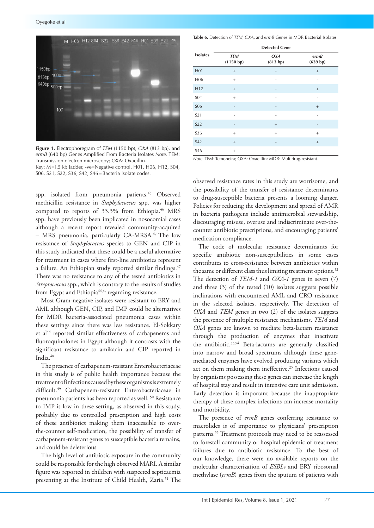<span id="page-4-0"></span>

**Figure 1.** Electrophoregram of *TEM* (1150 bp), *OXA* (813 bp), and *ermB* (640 bp) Genes Amplified From Bacteria Isolates *Note.* TEM: Transmission electron microscopy; OXA: Oxacillin. Key: M=I.5 kb ladder, -ve=Negative control. H01, H06, H12, S04,

S06, S21, S22, S36, S42, S46=Bacteria isolate codes.

spp. isolated from pneumonia patients.<sup>45</sup> Observed methicillin resistance in *Staphylococcus* spp. was higher compared to reports of 33.3% from Ethiopia.<sup>46</sup> MRS spp. have previously been implicated in nosocomial cases although a recent report revealed community-acquired – MRS pneumonia, particularly CA-MRSA.47 The low resistance of *Staphylococcus* species to GEN and CIP in this study indicated that these could be a useful alternative for treatment in cases where first-line antibiotics represent a failure. An Ethiopian study reported similar findings.<sup>47</sup> There was no resistance to any of the tested antibiotics in *Streptococcus* spp., which is contrary to the results of studies from Egypt and Ethiopia<sup>44,47</sup> regarding resistance.

Most Gram-negative isolates were resistant to ERY and AML although GEN, CIP, and IMP could be alternatives for MDR bacteria-associated pneumonia cases within these settings since there was less resistance. El-Sokkary et al<sup>44</sup> reported similar effectiveness of carbapenems and fluoroquinolones in Egypt although it contrasts with the significant resistance to amikacin and CIP reported in India.<sup>48</sup>

The presence of carbapenem-resistant Enterobacteriaceae in this study is of public health importance because the treatment of infections caused by these organisms is extremely difficult.49 Carbapenem-resistant Enterobacteriaceae in pneumonia patients has been reported as well. 50 Resistance to IMP is low in these setting, as observed in this study, probably due to controlled prescription and high costs of these antibiotics making them inaccessible to overthe-counter self-medication, the possibility of transfer of carbapenem-resistant genes to susceptible bacteria remains, and could be deleterious

The high level of antibiotic exposure in the community could be responsible for the high observed MARI. A similar figure was reported in children with suspected septicaemia presenting at the Institute of Child Health, Zaria.<sup>51</sup> The

<span id="page-4-1"></span>**Table 6.** Detection of *TEM, OXA,* and *ermB* Genes in MDR Bacterial Isolates

|                 | <b>Detected Gene</b>    |                 |                          |  |  |  |  |
|-----------------|-------------------------|-----------------|--------------------------|--|--|--|--|
| <b>Isolates</b> | <b>TEM</b><br>(1150 bp) | OXA<br>(813 bp) | ermB<br>(639 bp)         |  |  |  |  |
| H <sub>01</sub> |                         | -               |                          |  |  |  |  |
| H <sub>06</sub> | $+$                     |                 | $\qquad \qquad -$        |  |  |  |  |
| H12             |                         | -               | $+$                      |  |  |  |  |
| <b>SO4</b>      | $+$                     | ٠               | $\qquad \qquad -$        |  |  |  |  |
| <b>SO6</b>      | -                       | $\overline{a}$  | $+$                      |  |  |  |  |
| S <sub>21</sub> | $\qquad \qquad -$       | $\overline{a}$  | $\qquad \qquad -$        |  |  |  |  |
| <b>S22</b>      |                         | $^+$            |                          |  |  |  |  |
| S <sub>36</sub> | $+$                     | $\! +$          | $^{+}$                   |  |  |  |  |
| S42             |                         | ٠               | $^{+}$                   |  |  |  |  |
| S46             | $^{+}$                  | $^{+}$          | $\overline{\phantom{0}}$ |  |  |  |  |

*Note.* TEM: Temoneira; OXA: Oxacillin; MDR: Multidrug-resistant.

observed resistance rates in this study are worrisome, and the possibility of the transfer of resistance determinants to drug-susceptible bacteria presents a looming danger. Policies for reducing the development and spread of AMR in bacteria pathogens include antimicrobial stewardship, discouraging misuse, overuse and indiscriminate over-thecounter antibiotic prescriptions, and encouraging patients' medication compliance.

The code of molecular resistance determinants for specific antibiotic non-susceptibilities in some cases contributes to cross-resistance between antibiotics within the same or different class thus limiting treatment options.<sup>52</sup> The detection of *TEM-1* and *OXA-1* genes in seven (7) and three (3) of the tested (10) isolates suggests possible inclinations with encountered AML and CRO resistance in the selected isolates, respectively. The detection of *OXA* and *TEM* genes in two (2) of the isolates suggests the presence of multiple resistance mechanisms. *TEM* and *OXA* genes are known to mediate beta-lactam resistance through the production of enzymes that inactivate the antibiotic.53,54 Beta-lactams are generally classified into narrow and broad spectrums although these genemediated enzymes have evolved producing variants which act on them making them ineffective.<sup>25</sup> Infections caused by organisms possessing these genes can increase the length of hospital stay and result in intensive care unit admission. Early detection is important because the inappropriate therapy of these complex infections can increase mortality and morbidity.

The presence of *ermB* genes conferring resistance to macrolides is of importance to physicians' prescription patterns.<sup>55</sup> Treatment protocols may need to be reassessed to forestall community or hospital epidemic of treatment failures due to antibiotic resistance. To the best of our knowledge, there were no available reports on the molecular characterization of *ESBL*s and ERY ribosomal methylase (*ermB*) genes from the sputum of patients with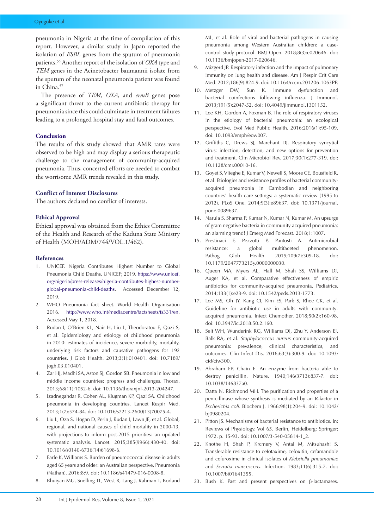pneumonia in Nigeria at the time of compilation of this report. However, a similar study in Japan reported the isolation of *ESBL* genes from the sputum of pneumonia patients.56 Another report of the isolation of *OXA* type and *TEM* genes in the Acinetobacter baumannii isolate from the sputum of the neonatal pneumonia patient was found in China.<sup>57</sup>

The presence of *TEM, OXA*, and *ermB* genes pose a significant threat to the current antibiotic therapy for pneumonia since this could culminate in treatment failures leading to a prolonged hospital stay and fatal outcomes.

#### **Conclusion**

The results of this study showed that AMR rates were observed to be high and may display a serious therapeutic challenge to the management of community-acquired pneumonia. Thus, concerted efforts are needed to combat the worrisome AMR trends revealed in this study.

#### **Conflict of Interest Disclosures**

The authors declared no conflict of interests.

#### **Ethical Approval**

Ethical approval was obtained from the Ethics Committee of the Health and Research of the Kaduna State Ministry of Health (MOH/ADM/744/VOL.1/462).

#### **References**

- 1. UNICEF. Nigeria Contributes Highest Number to Global Pneumonia Child Deaths. UNICEF; 2019. [https://www.unicef.](https://www.unicef.org/nigeria/press-releases/nigeria-contributes-highest-number-global-pneumonia-child-deaths) [org/nigeria/press-releases/nigeria-contributes-highest-number](https://www.unicef.org/nigeria/press-releases/nigeria-contributes-highest-number-global-pneumonia-child-deaths)[global-pneumonia-child-deaths.](https://www.unicef.org/nigeria/press-releases/nigeria-contributes-highest-number-global-pneumonia-child-deaths) Accessed December 12, 2019.
- 2. WHO Pneumonia fact sheet. World Health Organisation 2016. <http://www.who.int/mediacentre/factsheets/fs331/en>. Accessed May 1, 2018.
- 3. Rudan I, O'Brien KL, Nair H, Liu L, Theodoratou E, Qazi S, et al. Epidemiology and etiology of childhood pneumonia in 2010: estimates of incidence, severe morbidity, mortality, underlying risk factors and causative pathogens for 192 countries. J Glob Health. 2013;3(1):010401. doi: 10.7189/ jogh.03.010401.
- 4. Zar HJ, Madhi SA, Aston SJ, Gordon SB. Pneumonia in low and middle income countries: progress and challenges. Thorax. 2013;68(11):1052-6. doi: 10.1136/thoraxjnl-2013-204247.
- 5. Izadnegahdar R, Cohen AL, Klugman KP, Qazi SA. Childhood pneumonia in developing countries. Lancet Respir Med. 2013;1(7):574-84. doi: 10.1016/s2213-2600(13)70075-4.
- 6. Liu L, Oza S, Hogan D, Perin J, Rudan I, Lawn JE, et al. Global, regional, and national causes of child mortality in 2000-13, with projections to inform post-2015 priorities: an updated systematic analysis. Lancet. 2015;385(9966):430-40. doi: 10.1016/s0140-6736(14)61698-6.
- 7. Earle K, Williams S. Burden of pneumococcal disease in adults aged 65 years and older: an Australian perspective. Pneumonia (Nathan). 2016;8:9. doi: 10.1186/s41479-016-0008-8.
- 8. Bhuiyan MU, Snelling TL, West R, Lang J, Rahman T, Borland

ML, et al. Role of viral and bacterial pathogens in causing pneumonia among Western Australian children: a casecontrol study protocol. BMJ Open. 2018;8(3):e020646. doi: 10.1136/bmjopen-2017-020646.

- 9. Mizgerd JP. Respiratory infection and the impact of pulmonary immunity on lung health and disease. Am J Respir Crit Care Med. 2012;186(9):824-9. doi: 10.1164/rccm.201206-1063PP.
- 10. Metzger DW, Sun K. Immune dysfunction and bacterial coinfections following influenza. J Immunol. 2013;191(5):2047-52. doi: 10.4049/jimmunol.1301152.
- 11. Lee KH, Gordon A, Foxman B. The role of respiratory viruses in the etiology of bacterial pneumonia: an ecological perspective. Evol Med Public Health. 2016;2016(1):95-109. doi: 10.1093/emph/eow007.
- 12. Griffiths C, Drews SJ, Marchant DJ. Respiratory syncytial virus: infection, detection, and new options for prevention and treatment. Clin Microbiol Rev. 2017;30(1):277-319. doi: 10.1128/cmr.00010-16.
- 13. Goyet S, Vlieghe E, Kumar V, Newell S, Moore CE, Bousfield R, et al. Etiologies and resistance profiles of bacterial communityacquired pneumonia in Cambodian and neighboring countries' health care settings: a systematic review (1995 to 2012). PLoS One. 2014;9(3):e89637. doi: 10.1371/journal. pone.0089637.
- 14. Narula S, Sharma P, Kumar N, Kumar N, Kumar M. An upsurge of gram negative bacteria in community acquired pneumonia: an alarming trend! J Emerg Med Forecast. 2018;1:1007.
- 15. Prestinaci F, Pezzotti P, Pantosti A. Antimicrobial resistance: a global multifaceted phenomenon. Pathog Glob Health. 2015;109(7):309-18. doi: 10.1179/2047773215y.0000000030.
- 16. Queen MA, Myers AL, Hall M, Shah SS, Williams DJ, Auger KA, et al. Comparative effectiveness of empiric antibiotics for community-acquired pneumonia. Pediatrics. 2014;133(1):e23-9. doi: 10.1542/peds.2013-1773.
- 17. Lee MS, Oh JY, Kang CI, Kim ES, Park S, Rhee CK, et al. Guideline for antibiotic use in adults with communityacquired pneumonia. Infect Chemother. 2018;50(2):160-98. doi: 10.3947/ic.2018.50.2.160.
- 18. Self WH, Wunderink RG, Williams DJ, Zhu Y, Anderson EJ, Balk RA, et al. *Staphylococcus aureus* community-acquired pneumonia: prevalence, clinical characteristics, and outcomes. Clin Infect Dis. 2016;63(3):300-9. doi: 10.1093/ cid/ciw300.
- 19. Abraham EP, Chain E. An enzyme from bacteria able to destroy penicillin. Nature. 1940;146(3713):837-7. doi: 10.1038/146837a0.
- 20. Datta N, Richmond MH. The purification and properties of a penicillinase whose synthesis is mediated by an R-factor in *Escherichia coli*. Biochem J. 1966;98(1):204-9. doi: 10.1042/ bj0980204.
- 21. Pitton JS. Mechanisms of bacterial resistance to antibiotics. In: Reviews of Physiology. Vol 65. Berlin, Heidelberg: Springer; 1972. p. 15-93. doi: 10.1007/3-540-05814-1\_2.
- 22. Knothe H, Shah P, Krcmery V, Antal M, Mitsuhashi S. Transferable resistance to cefotaxime, cefoxitin, cefamandole and cefuroxime in clinical isolates of *Klebsiella pneumoniae* and *Serratia marcescens*. Infection. 1983;11(6):315-7. doi: 10.1007/bf01641355.
- 23. Bush K. Past and present perspectives on β-lactamases.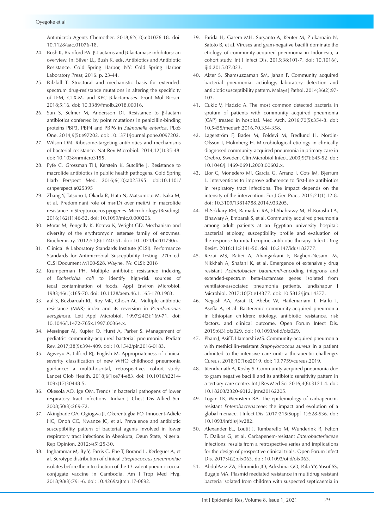Antimicrob Agents Chemother. 2018;62(10):e01076-18. doi: 10.1128/aac.01076-18.

- 24. Bush K, Bradford PA. β-Lactams and β-lactamase inhibitors: an overview. In: Silver LL, Bush K, eds. Antibiotics and Antibiotic Resistance. Cold Spring Harbor, NY: Cold Spring Harbor Laboratory Press; 2016. p. 23-44.
- 25. Palzkill T. Structural and mechanistic basis for extendedspectrum drug-resistance mutations in altering the specificity of TEM, CTX-M, and KPC β-lactamases. Front Mol Biosci. 2018;5:16. doi: 10.3389/fmolb.2018.00016.
- 26. Sun S, Selmer M, Andersson DI. Resistance to β-lactam antibiotics conferred by point mutations in penicillin-binding proteins PBP3, PBP4 and PBP6 in *Salmonella enterica*. PLoS One. 2014;9(5):e97202. doi: 10.1371/journal.pone.0097202.
- 27. Wilson DN. Ribosome-targeting antibiotics and mechanisms of bacterial resistance. Nat Rev Microbiol. 2014;12(1):35-48. doi: 10.1038/nrmicro3155.
- 28. Fyfe C, Grossman TH, Kerstein K, Sutcliffe J. Resistance to macrolide antibiotics in public health pathogens. Cold Spring Harb Perspect Med. 2016;6(10):a025395. doi:10.1101/ cshperspect.a025395
- 29. Zhang Y, Tatsuno I, Okada R, Hata N, Matsumoto M, Isaka M, et al. Predominant role of msr(D) over mef(A) in macrolide resistance in Streptococcus pyogenes. Microbiology (Reading). 2016;162(1):46-52. doi: 10.1099/mic.0.000206.
- 30. Morar M, Pengelly K, Koteva K, Wright GD. Mechanism and diversity of the erythromycin esterase family of enzymes. Biochemistry. 2012;51(8):1740-51. doi: 10.1021/bi201790u.
- 31. Clinical & Laboratory Standards Institute (CLSI). Performance Standards for Antimicrobial Susceptibility Testing. 27th ed. CLSI Document M100-S28. Wayne, PA: CLSI; 2018
- 32. Krumperman PH. Multiple antibiotic resistance indexing of *Escherichia coli* to identify high-risk sources of fecal contamination of foods. Appl Environ Microbiol. 1983;46(1):165-70. doi: 10.1128/aem.46.1.165-170.1983.
- 33. aul S, Bezbaruah RL, Roy MK, Ghosh AC. Multiple antibiotic resistance (MAR) index and its reversion in *Pseudomonas aeruginosa*. Lett Appl Microbiol. 1997;24(3):169-71. doi: 10.1046/j.1472-765x.1997.00364.x.
- 34. Messinger AI, Kupfer O, Hurst A, Parker S. Management of pediatric community-acquired bacterial pneumonia. Pediatr Rev. 2017;38(9):394-409. doi: 10.1542/pir.2016-0183.
- 35. Agweyu A, Lilford RJ, English M. Appropriateness of clinical severity classification of new WHO childhood pneumonia guidance: a multi-hospital, retrospective, cohort study. Lancet Glob Health. 2018;6(1):e74-e83. doi: 10.1016/s2214- 109x(17)30448-5.
- 36. Okesola AO, Ige OM. Trends in bacterial pathogens of lower respiratory tract infections. Indian J Chest Dis Allied Sci. 2008;50(3):269-72.
- 37. Akingbade OA, Ogiogwa JI, Okerentugba PO, Innocent-Adiele HC, Onoh CC, Nwanze JC, et al. Prevalence and antibiotic susceptibility pattern of bacterial agents involved in lower respiratory tract infections in Abeokuta, Ogun State, Nigeria. Rep Opinion. 2012;4(5):25-30.
- 38. Inghammar M, By Y, Farris C, Phe T, Borand L, Kerleguer A, et al. Serotype distribution of clinical *Streptococcus pneumoniae* isolates before the introduction of the 13-valent pneumococcal conjugate vaccine in Cambodia. Am J Trop Med Hyg. 2018;98(3):791-6. doi: 10.4269/ajtmh.17-0692.
- 39. Farida H, Gasem MH, Suryanto A, Keuter M, Zulkarnain N, Satoto B, et al. Viruses and gram-negative bacilli dominate the etiology of community-acquired pneumonia in Indonesia, a cohort study. Int J Infect Dis. 2015;38:101-7. doi: 10.1016/j. iiid.2015.07.023.
- 40. Akter S, Shamsuzzaman SM, Jahan F. Community acquired bacterial pneumonia: aetiology, laboratory detection and antibiotic susceptibility pattern. Malays J Pathol. 2014;36(2):97- 103.
- 41. Cukic V, Hadzic A. The most common detected bacteria in sputum of patients with community acquired pneumonia (CAP) treated in hospital. Med Arch. 2016;70(5):354-8. doi: 10.5455/medarh.2016.70.354-358.
- 42. Lagerström F, Bader M, Foldevi M, Fredlund H, Nordin-Olsson I, Holmberg H. Microbiological etiology in clinically diagnosed community-acquired pneumonia in primary care in Orebro, Sweden. Clin Microbiol Infect. 2003;9(7):645-52. doi: 10.1046/j.1469-0691.2003.00602.x.
- 43. Llor C, Monedero MJ, García G, Arranz J, Cots JM, Bjerrum L. Interventions to improve adherence to first-line antibiotics in respiratory tract infections. The impact depends on the intensity of the intervention. Eur J Gen Pract. 2015;21(1):12-8. doi: 10.3109/13814788.2014.933205.
- 44. El-Sokkary RH, Ramadan RA, El-Shabrawy M, El-Korashi LA, Elhawary A, Embarak S, et al. Community acquired pneumonia among adult patients at an Egyptian university hospital: bacterial etiology, susceptibility profile and evaluation of the response to initial empiric antibiotic therapy. Infect Drug Resist. 2018;11:2141-50. doi: 10.2147/idr.s182777.
- 45. Rezai MS, Rafiei A, Ahangarkani F, Bagheri-Nesami M, Nikkhah A, Shafahi K, et al. Emergence of extensively drug resistant *Acinetobacter baumannii*-encoding integrons and extended-spectrum beta-lactamase genes isolated from ventilator-associated pneumonia patients. Jundishapur J Microbiol. 2017;10(7):e14377. doi: 10.5812/jjm.14377.
- 46. Negash AA, Asrat D, Abebe W, Hailemariam T, Hailu T, Aseffa A, et al. Bacteremic community-acquired pneumonia in Ethiopian children: etiology, antibiotic resistance, risk factors, and clinical outcome. Open Forum Infect Dis. 2019;6(3):ofz029. doi: 10.1093/ofid/ofz029.
- 47. Pham J, Asif T, Hamarshi MS. Community-acquired pneumonia with methicillin-resistant *Staphylococcus aureus* in a patient admitted to the intensive care unit: a therapeutic challenge. Cureus. 2018;10(1):e2019. doi: 10.7759/cureus.2019.
- 48. Jitendranath A, Koshy S. Community acquired pneumonia due to gram negative bacilli and its antibiotic sensitivity pattern in a tertiary care centre. Int J Res Med Sci 2016;4(8):3121-4. doi: 10.18203/2320-6012.ijrms20162205.
- 49. Logan LK, Weinstein RA. The epidemiology of carbapenemresistant *Enterobacteriaceae*: the impact and evolution of a global menace. J Infect Dis. 2017;215(Suppl\_1):S28-S36. doi: 10.1093/infdis/jiw282.
- 50. Alexander EL, Loutit J, Tumbarello M, Wunderink R, Felton T, Daikos G, et al. Carbapenem-resistant *Enterobacteriaceae* infections: results from a retrospective series and implications for the design of prospective clinical trials. Open Forum Infect Dis. 2017;4(2):ofx063. doi: 10.1093/ofid/ofx063.
- 51. AbdulAziz ZA, Ehinmidu JO, Adeshina GO, Pala YY, Yusuf SS, Bugaje MA. Plasmid mediated resistance in multidrug resistant bacteria isolated from children with suspected septicaemia in